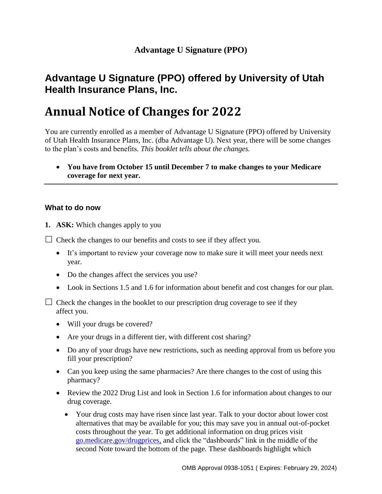# **Advantage U Signature (PPO) offered by University of Utah Health Insurance Plans, Inc.**

# **Annual Notice of Changes for 2022**

You are currently enrolled as a member of Advantage U Signature (PPO) offered by University of Utah Health Insurance Plans, Inc. (dba Advantage U). Next year, there will be some changes to the plan's costs and benefits*. This booklet tells about the changes.*

 **You have from October 15 until December 7 to make changes to your Medicare coverage for next year.**

## **What to do now**

**1. ASK:** Which changes apply to you

 $\Box$  Check the changes to our benefits and costs to see if they affect you.

- It's important to review your coverage now to make sure it will meet your needs next year.
- Do the changes affect the services you use?
- Look in Sections 1.5 and 1.6 for information about benefit and cost changes for our plan.

 $\Box$  Check the changes in the booklet to our prescription drug coverage to see if they affect you.

- Will your drugs be covered?
- Are your drugs in a different tier, with different cost sharing?
- Do any of your drugs have new restrictions, such as needing approval from us before you fill your prescription?
- Can you keep using the same pharmacies? Are there changes to the cost of using this pharmacy?
- Review the 2022 Drug List and look in Section 1.6 for information about changes to our drug coverage.
	- Your drug costs may have risen since last year. Talk to your doctor about lower cost alternatives that may be available for you; this may save you in annual out-of-pocket costs throughout the year. To get additional information on drug prices visit [go.medicare.gov/drugprices,](https://go.medicare.gov/drugprices) and click the "dashboards" link in the middle of the second Note toward the bottom of the page. These dashboards highlight which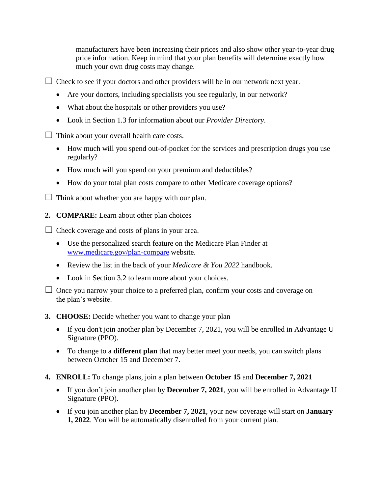manufacturers have been increasing their prices and also show other year-to-year drug price information. Keep in mind that your plan benefits will determine exactly how much your own drug costs may change.

 $\Box$  Check to see if your doctors and other providers will be in our network next year.

- Are your doctors, including specialists you see regularly, in our network?
- What about the hospitals or other providers you use?
- Look in Section 1.3 for information about our *Provider Directory*.

 $\Box$  Think about your overall health care costs.

- How much will you spend out-of-pocket for the services and prescription drugs you use regularly?
- How much will you spend on your premium and deductibles?
- How do your total plan costs compare to other Medicare coverage options?

 $\Box$  Think about whether you are happy with our plan.

**2. COMPARE:** Learn about other plan choices

 $\Box$  Check coverage and costs of plans in your area.

- Use the personalized search feature on the Medicare Plan Finder at [www.medicare.gov/plan-compare](http://www.medicare.gov/plan-compare) website.
- Review the list in the back of your *Medicare & You 2022* handbook.
- Look in Section 3.2 to learn more about your choices.

 $\Box$  Once you narrow your choice to a preferred plan, confirm your costs and coverage on the plan's website.

### **3. CHOOSE:** Decide whether you want to change your plan

- If you don't join another plan by December 7, 2021, you will be enrolled in Advantage U Signature (PPO).
- To change to a **different plan** that may better meet your needs, you can switch plans between October 15 and December 7.
- **4. ENROLL:** To change plans, join a plan between **October 15** and **December 7, 2021**
	- If you don't join another plan by **December 7, 2021**, you will be enrolled in Advantage U Signature (PPO).
	- If you join another plan by **December 7, 2021**, your new coverage will start on **January 1, 2022**. You will be automatically disenrolled from your current plan.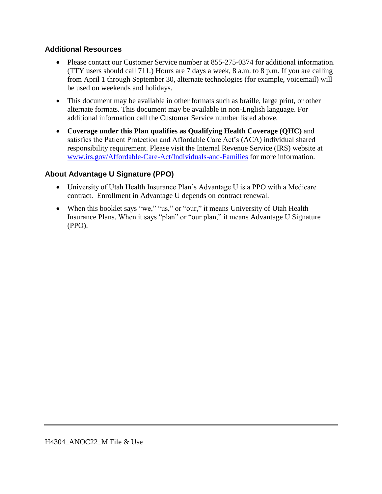## **Additional Resources**

- Please contact our Customer Service number at 855-275-0374 for additional information. (TTY users should call 711*.*) Hours are 7 days a week, 8 a.m. to 8 p.m. If you are calling from April 1 through September 30, alternate technologies (for example, voicemail) will be used on weekends and holidays.
- This document may be available in other formats such as braille, large print, or other alternate formats. This document may be available in non-English language. For additional information call the Customer Service number listed above*.*
- **Coverage under this Plan qualifies as Qualifying Health Coverage (QHC)** and satisfies the Patient Protection and Affordable Care Act's (ACA) individual shared responsibility requirement. Please visit the Internal Revenue Service (IRS) website at [www.irs.gov/Affordable-Care-Act/Individuals-and-Families](http://www.irs.gov/Affordable-Care-Act/Individuals-and-Families) for more information.

## **About Advantage U Signature (PPO)**

- University of Utah Health Insurance Plan's Advantage U is a PPO with a Medicare contract. Enrollment in Advantage U depends on contract renewal.
- When this booklet says "we," "us," or "our," it means University of Utah Health Insurance Plans. When it says "plan" or "our plan," it means Advantage U Signature (PPO).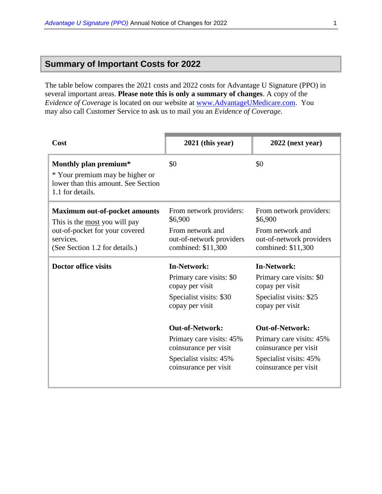## **Summary of Important Costs for 2022**

The table below compares the 2021 costs and 2022 costs for Advantage U Signature (PPO) in several important areas. **Please note this is only a summary of changes**. A copy of the *Evidence of Coverage* is located on our website at [www.AdvantageUMedicare.com.](http://www.advantageumedicare.com/) You may also call Customer Service to ask us to mail you an *Evidence of Coverage*.

| Cost                                                                                                                                                   | $2021$ (this year)                                                                                                                                                                                                                                | $2022$ (next year)                                                                                                                                                                                                                                |
|--------------------------------------------------------------------------------------------------------------------------------------------------------|---------------------------------------------------------------------------------------------------------------------------------------------------------------------------------------------------------------------------------------------------|---------------------------------------------------------------------------------------------------------------------------------------------------------------------------------------------------------------------------------------------------|
| Monthly plan premium*<br>* Your premium may be higher or<br>lower than this amount. See Section<br>1.1 for details.                                    | \$0                                                                                                                                                                                                                                               | \$0                                                                                                                                                                                                                                               |
| <b>Maximum out-of-pocket amounts</b><br>This is the most you will pay<br>out-of-pocket for your covered<br>services.<br>(See Section 1.2 for details.) | From network providers:<br>\$6,900<br>From network and<br>out-of-network providers<br>combined: \$11,300                                                                                                                                          | From network providers:<br>\$6,900<br>From network and<br>out-of-network providers<br>combined: \$11,300                                                                                                                                          |
| Doctor office visits                                                                                                                                   | <b>In-Network:</b><br>Primary care visits: \$0<br>copay per visit<br>Specialist visits: \$30<br>copay per visit<br><b>Out-of-Network:</b><br>Primary care visits: 45%<br>coinsurance per visit<br>Specialist visits: 45%<br>coinsurance per visit | <b>In-Network:</b><br>Primary care visits: \$0<br>copay per visit<br>Specialist visits: \$25<br>copay per visit<br><b>Out-of-Network:</b><br>Primary care visits: 45%<br>coinsurance per visit<br>Specialist visits: 45%<br>coinsurance per visit |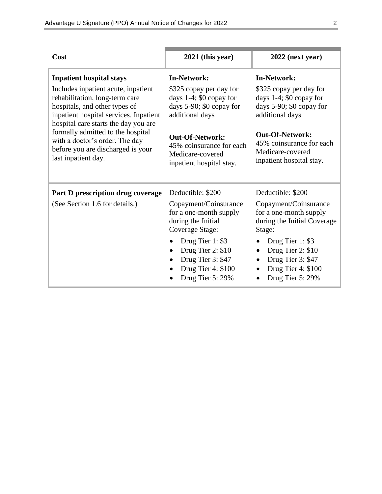| Cost                                                                                                                                                                                     | $2021$ (this year)                                                                                                | $2022$ (next year)                                                                                                                  |
|------------------------------------------------------------------------------------------------------------------------------------------------------------------------------------------|-------------------------------------------------------------------------------------------------------------------|-------------------------------------------------------------------------------------------------------------------------------------|
| <b>Inpatient hospital stays</b>                                                                                                                                                          | <b>In-Network:</b>                                                                                                | <b>In-Network:</b>                                                                                                                  |
| Includes inpatient acute, inpatient<br>rehabilitation, long-term care<br>hospitals, and other types of<br>inpatient hospital services. Inpatient<br>hospital care starts the day you are | \$325 copay per day for<br>days $1-4$ ; \$0 copay for<br>days 5-90; \$0 copay for<br>additional days              | \$325 copay per day for<br>days $1-4$ ; \$0 copay for<br>days $5-90$ ; \$0 copay for<br>additional days                             |
| formally admitted to the hospital<br>with a doctor's order. The day<br>before you are discharged is your<br>last inpatient day.                                                          | <b>Out-Of-Network:</b><br>45% coinsurance for each<br>Medicare-covered<br>inpatient hospital stay.                | <b>Out-Of-Network:</b><br>45% coinsurance for each<br>Medicare-covered<br>inpatient hospital stay.                                  |
| Part D prescription drug coverage                                                                                                                                                        | Deductible: \$200                                                                                                 | Deductible: \$200                                                                                                                   |
| (See Section 1.6 for details.)                                                                                                                                                           | Copayment/Coinsurance<br>for a one-month supply<br>during the Initial<br>Coverage Stage:                          | Copayment/Coinsurance<br>for a one-month supply<br>during the Initial Coverage<br>Stage:                                            |
|                                                                                                                                                                                          | Drug Tier 1: \$3<br>Drug Tier 2: \$10<br>$\bullet$<br>Drug Tier 3: \$47<br>Drug Tier 4: \$100<br>Drug Tier 5: 29% | Drug Tier 1: \$3<br>Drug Tier 2: \$10<br>٠<br>Drug Tier 3: \$47<br>$\bullet$<br>Drug Tier 4: \$100<br>Drug Tier 5: 29%<br>$\bullet$ |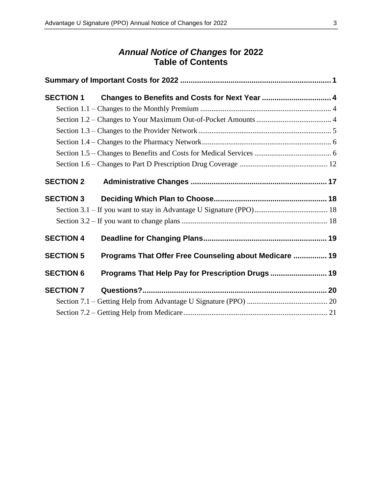## *Annual Notice of Changes* **for 2022 Table of Contents**

| <b>SECTION 1</b> | Changes to Benefits and Costs for Next Year  4         |  |
|------------------|--------------------------------------------------------|--|
|                  |                                                        |  |
|                  |                                                        |  |
|                  |                                                        |  |
|                  |                                                        |  |
|                  |                                                        |  |
|                  |                                                        |  |
| <b>SECTION 2</b> |                                                        |  |
| <b>SECTION 3</b> |                                                        |  |
|                  |                                                        |  |
|                  |                                                        |  |
| <b>SECTION 4</b> |                                                        |  |
| <b>SECTION 5</b> | Programs That Offer Free Counseling about Medicare  19 |  |
| <b>SECTION 6</b> | Programs That Help Pay for Prescription Drugs  19      |  |
| <b>SECTION 7</b> |                                                        |  |
|                  |                                                        |  |
|                  |                                                        |  |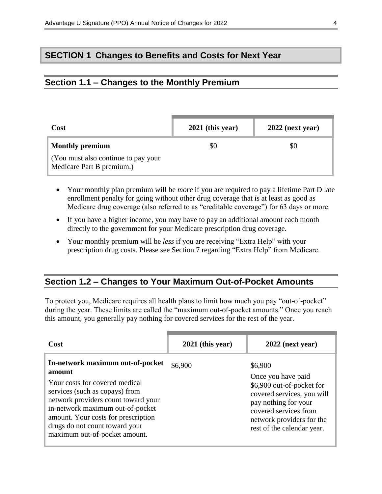## **SECTION 1 Changes to Benefits and Costs for Next Year**

## **Section 1.1 – Changes to the Monthly Premium**

| Cost                                                             | $2021$ (this year) | $2022$ (next year) |
|------------------------------------------------------------------|--------------------|--------------------|
| <b>Monthly premium</b>                                           | \$Ο                | \$0                |
| (You must also continue to pay your<br>Medicare Part B premium.) |                    |                    |

- Your monthly plan premium will be *more* if you are required to pay a lifetime Part D late enrollment penalty for going without other drug coverage that is at least as good as Medicare drug coverage (also referred to as "creditable coverage") for 63 days or more.
- If you have a higher income, you may have to pay an additional amount each month directly to the government for your Medicare prescription drug coverage.
- Your monthly premium will be *less* if you are receiving "Extra Help" with your prescription drug costs. Please see Section 7 regarding "Extra Help" from Medicare.

### **Section 1.2 – Changes to Your Maximum Out-of-Pocket Amounts**

To protect you, Medicare requires all health plans to limit how much you pay "out-of-pocket" during the year. These limits are called the "maximum out-of-pocket amounts." Once you reach this amount, you generally pay nothing for covered services for the rest of the year.

| Cost                                                                                                                                                                                                                                                                                                | $2021$ (this year) | $2022$ (next year)                                                                                                                                                                                   |
|-----------------------------------------------------------------------------------------------------------------------------------------------------------------------------------------------------------------------------------------------------------------------------------------------------|--------------------|------------------------------------------------------------------------------------------------------------------------------------------------------------------------------------------------------|
| In-network maximum out-of-pocket<br>amount<br>Your costs for covered medical<br>services (such as copays) from<br>network providers count toward your<br>in-network maximum out-of-pocket<br>amount. Your costs for prescription<br>drugs do not count toward your<br>maximum out-of-pocket amount. | \$6,900            | \$6,900<br>Once you have paid<br>\$6,900 out-of-pocket for<br>covered services, you will<br>pay nothing for your<br>covered services from<br>network providers for the<br>rest of the calendar year. |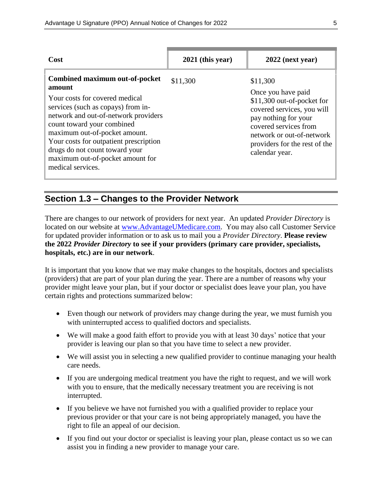| Cost                                                                                                                                                                                                                                                                                                                                                         | $2021$ (this year) | $2022$ (next year)                                                                                                                                                                                                          |
|--------------------------------------------------------------------------------------------------------------------------------------------------------------------------------------------------------------------------------------------------------------------------------------------------------------------------------------------------------------|--------------------|-----------------------------------------------------------------------------------------------------------------------------------------------------------------------------------------------------------------------------|
| Combined maximum out-of-pocket<br>amount<br>Your costs for covered medical<br>services (such as copays) from in-<br>network and out-of-network providers<br>count toward your combined<br>maximum out-of-pocket amount.<br>Your costs for outpatient prescription<br>drugs do not count toward your<br>maximum out-of-pocket amount for<br>medical services. | \$11,300           | \$11,300<br>Once you have paid<br>\$11,300 out-of-pocket for<br>covered services, you will<br>pay nothing for your<br>covered services from<br>network or out-of-network<br>providers for the rest of the<br>calendar year. |

## **Section 1.3 – Changes to the Provider Network**

There are changes to our network of providers for next year. An updated *Provider Directory* is located on our website at [www.AdvantageUMedicare.com.](http://www.advantageumedicare.com/) You may also call Customer Service for updated provider information or to ask us to mail you a *Provider Directory*. **Please review the 2022** *Provider Directory* **to see if your providers (primary care provider, specialists, hospitals, etc.) are in our network**.

It is important that you know that we may make changes to the hospitals, doctors and specialists (providers) that are part of your plan during the year. There are a number of reasons why your provider might leave your plan, but if your doctor or specialist does leave your plan, you have certain rights and protections summarized below:

- Even though our network of providers may change during the year, we must furnish you with uninterrupted access to qualified doctors and specialists.
- We will make a good faith effort to provide you with at least 30 days' notice that your provider is leaving our plan so that you have time to select a new provider.
- We will assist you in selecting a new qualified provider to continue managing your health care needs.
- If you are undergoing medical treatment you have the right to request, and we will work with you to ensure, that the medically necessary treatment you are receiving is not interrupted.
- If you believe we have not furnished you with a qualified provider to replace your previous provider or that your care is not being appropriately managed, you have the right to file an appeal of our decision.
- If you find out your doctor or specialist is leaving your plan, please contact us so we can assist you in finding a new provider to manage your care.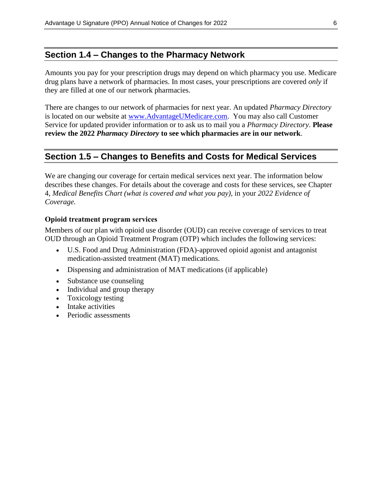## **Section 1.4 – Changes to the Pharmacy Network**

Amounts you pay for your prescription drugs may depend on which pharmacy you use. Medicare drug plans have a network of pharmacies. In most cases, your prescriptions are covered *only* if they are filled at one of our network pharmacies.

There are changes to our network of pharmacies for next year. An updated *Pharmacy Directory*  is located on our website at [www.AdvantageUMedicare.com.](http://www.advantageumedicare.com/) You may also call Customer Service for updated provider information or to ask us to mail you a *Pharmacy Directory*. **Please review the 2022** *Pharmacy Directory* **to see which pharmacies are in our network**.

## **Section 1.5 – Changes to Benefits and Costs for Medical Services**

We are changing our coverage for certain medical services next year. The information below describes these changes. For details about the coverage and costs for these services, see Chapter 4, *Medical Benefits Chart (what is covered and what you pay)*, in your *2022 Evidence of Coverage.*

#### **Opioid treatment program services**

Members of our plan with opioid use disorder (OUD) can receive coverage of services to treat OUD through an Opioid Treatment Program (OTP) which includes the following services:

- U.S. Food and Drug Administration (FDA)-approved opioid agonist and antagonist medication-assisted treatment (MAT) medications.
- Dispensing and administration of MAT medications (if applicable)
- Substance use counseling
- Individual and group therapy
- Toxicology testing
- Intake activities
- Periodic assessments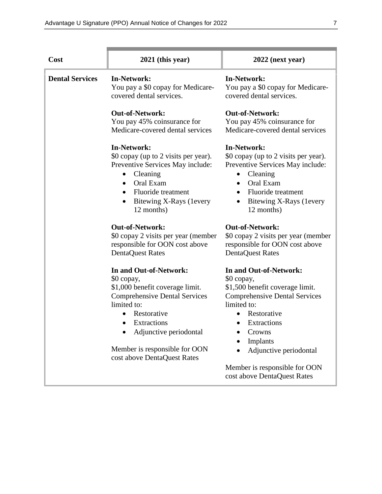| Cost                   | $2021$ (this year)                                                                                                                                                                                                                   | $2022$ (next year)                                                                                                                                                                                                                                |
|------------------------|--------------------------------------------------------------------------------------------------------------------------------------------------------------------------------------------------------------------------------------|---------------------------------------------------------------------------------------------------------------------------------------------------------------------------------------------------------------------------------------------------|
| <b>Dental Services</b> | <b>In-Network:</b><br>You pay a \$0 copay for Medicare-<br>covered dental services.                                                                                                                                                  | <b>In-Network:</b><br>You pay a \$0 copay for Medicare-<br>covered dental services.                                                                                                                                                               |
|                        | <b>Out-of-Network:</b><br>You pay 45% coinsurance for<br>Medicare-covered dental services                                                                                                                                            | <b>Out-of-Network:</b><br>You pay 45% coinsurance for<br>Medicare-covered dental services                                                                                                                                                         |
|                        | <b>In-Network:</b><br>\$0 copay (up to 2 visits per year).<br>Preventive Services May include:<br>Cleaning<br>$\bullet$<br>Oral Exam<br>$\bullet$<br><b>Fluoride</b> treatment<br>Bitewing X-Rays (levery<br>$\bullet$<br>12 months) | <b>In-Network:</b><br>\$0 copay (up to 2 visits per year).<br>Preventive Services May include:<br>Cleaning<br>$\bullet$<br>Oral Exam<br>$\bullet$<br><b>Fluoride</b> treatment<br>$\bullet$<br>Bitewing X-Rays (levery<br>$\bullet$<br>12 months) |
|                        | <b>Out-of-Network:</b><br>\$0 copay 2 visits per year (member<br>responsible for OON cost above<br><b>DentaQuest Rates</b>                                                                                                           | <b>Out-of-Network:</b><br>\$0 copay 2 visits per year (member<br>responsible for OON cost above<br><b>DentaQuest Rates</b>                                                                                                                        |
|                        | In and Out-of-Network:<br>\$0 copay,<br>\$1,000 benefit coverage limit.<br><b>Comprehensive Dental Services</b><br>limited to:<br>Restorative<br>Extractions<br>Adjunctive periodontal                                               | In and Out-of-Network:<br>\$0 copay,<br>\$1,500 benefit coverage limit.<br><b>Comprehensive Dental Services</b><br>limited to:<br>Restorative<br>Extractions<br>Crowns<br>Implants                                                                |
|                        | Member is responsible for OON<br>cost above DentaQuest Rates                                                                                                                                                                         | Adjunctive periodontal<br>Member is responsible for OON<br>cost above DentaQuest Rates                                                                                                                                                            |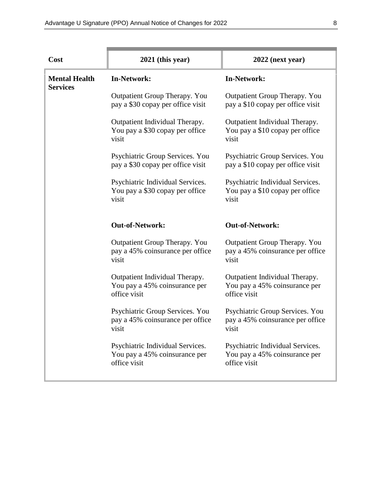| Cost                                    | 2021 (this year)                                                                  | $2022$ (next year)                                                                |
|-----------------------------------------|-----------------------------------------------------------------------------------|-----------------------------------------------------------------------------------|
| <b>Mental Health</b><br><b>Services</b> | <b>In-Network:</b>                                                                | <b>In-Network:</b>                                                                |
|                                         | Outpatient Group Therapy. You<br>pay a \$30 copay per office visit                | Outpatient Group Therapy. You<br>pay a \$10 copay per office visit                |
|                                         | Outpatient Individual Therapy.<br>You pay a \$30 copay per office<br>visit        | Outpatient Individual Therapy.<br>You pay a \$10 copay per office<br>visit        |
|                                         | Psychiatric Group Services. You<br>pay a \$30 copay per office visit              | Psychiatric Group Services. You<br>pay a \$10 copay per office visit              |
|                                         | Psychiatric Individual Services.<br>You pay a \$30 copay per office<br>visit      | Psychiatric Individual Services.<br>You pay a \$10 copay per office<br>visit      |
|                                         | <b>Out-of-Network:</b>                                                            | <b>Out-of-Network:</b>                                                            |
|                                         | Outpatient Group Therapy. You<br>pay a 45% coinsurance per office<br>visit        | <b>Outpatient Group Therapy. You</b><br>pay a 45% coinsurance per office<br>visit |
|                                         | Outpatient Individual Therapy.<br>You pay a 45% coinsurance per<br>office visit   | Outpatient Individual Therapy.<br>You pay a 45% coinsurance per<br>office visit   |
|                                         | Psychiatric Group Services. You<br>pay a 45% coinsurance per office<br>visit      | Psychiatric Group Services. You<br>pay a 45% coinsurance per office<br>visit      |
|                                         | Psychiatric Individual Services.<br>You pay a 45% coinsurance per<br>office visit | Psychiatric Individual Services.<br>You pay a 45% coinsurance per<br>office visit |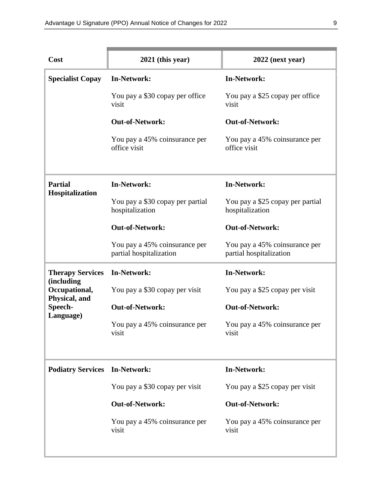| Cost                                         | $2021$ (this year)                                       | $2022$ (next year)                                       |
|----------------------------------------------|----------------------------------------------------------|----------------------------------------------------------|
| <b>Specialist Copay</b>                      | <b>In-Network:</b>                                       | <b>In-Network:</b>                                       |
|                                              | You pay a \$30 copay per office<br>visit                 | You pay a \$25 copay per office<br>visit                 |
|                                              | <b>Out-of-Network:</b>                                   | <b>Out-of-Network:</b>                                   |
|                                              | You pay a 45% coinsurance per<br>office visit            | You pay a 45% coinsurance per<br>office visit            |
| <b>Partial</b><br>Hospitalization            | <b>In-Network:</b>                                       | <b>In-Network:</b>                                       |
|                                              | You pay a \$30 copay per partial<br>hospitalization      | You pay a \$25 copay per partial<br>hospitalization      |
|                                              | <b>Out-of-Network:</b>                                   | <b>Out-of-Network:</b>                                   |
|                                              | You pay a 45% coinsurance per<br>partial hospitalization | You pay a 45% coinsurance per<br>partial hospitalization |
| <b>Therapy Services</b>                      | <b>In-Network:</b>                                       | <b>In-Network:</b>                                       |
| (including<br>Occupational,<br>Physical, and | You pay a \$30 copay per visit                           | You pay a \$25 copay per visit                           |
| Speech-<br>Language)                         | <b>Out-of-Network:</b>                                   | <b>Out-of-Network:</b>                                   |
|                                              | You pay a 45% coinsurance per<br>visit                   | You pay a 45% coinsurance per<br>visit                   |
| <b>Podiatry Services</b>                     | <b>In-Network:</b>                                       | <b>In-Network:</b>                                       |
|                                              | You pay a \$30 copay per visit                           | You pay a \$25 copay per visit                           |
|                                              | <b>Out-of-Network:</b>                                   | <b>Out-of-Network:</b>                                   |
|                                              | You pay a 45% coinsurance per<br>visit                   | You pay a 45% coinsurance per<br>visit                   |
|                                              |                                                          |                                                          |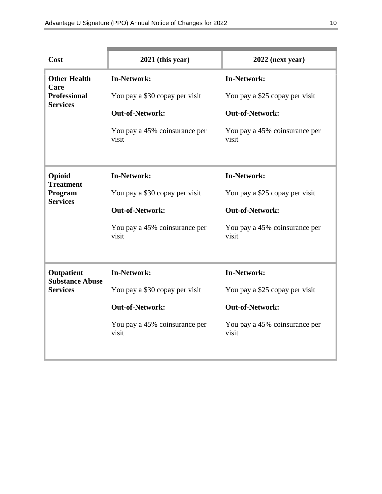| Cost                                   | $2021$ (this year)                     | $2022$ (next year)                     |
|----------------------------------------|----------------------------------------|----------------------------------------|
| <b>Other Health</b><br>Care            | <b>In-Network:</b>                     | <b>In-Network:</b>                     |
| <b>Professional</b><br><b>Services</b> | You pay a \$30 copay per visit         | You pay a \$25 copay per visit         |
|                                        | <b>Out-of-Network:</b>                 | <b>Out-of-Network:</b>                 |
|                                        | You pay a 45% coinsurance per<br>visit | You pay a 45% coinsurance per<br>visit |
| Opioid<br><b>Treatment</b>             | <b>In-Network:</b>                     | <b>In-Network:</b>                     |
| Program<br><b>Services</b>             | You pay a \$30 copay per visit         | You pay a \$25 copay per visit         |
|                                        | <b>Out-of-Network:</b>                 | <b>Out-of-Network:</b>                 |
|                                        | You pay a 45% coinsurance per<br>visit | You pay a 45% coinsurance per<br>visit |
|                                        |                                        |                                        |
| Outpatient<br><b>Substance Abuse</b>   | <b>In-Network:</b>                     | <b>In-Network:</b>                     |
| <b>Services</b>                        | You pay a \$30 copay per visit         | You pay a \$25 copay per visit         |
|                                        | <b>Out-of-Network:</b>                 | <b>Out-of-Network:</b>                 |
|                                        | You pay a 45% coinsurance per<br>visit | You pay a 45% coinsurance per<br>visit |
|                                        |                                        |                                        |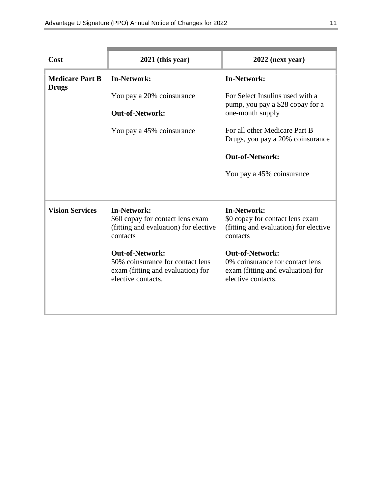| Cost                                   | $2021$ (this year)                                                                                                    | $2022$ (next year)                                                                                                   |
|----------------------------------------|-----------------------------------------------------------------------------------------------------------------------|----------------------------------------------------------------------------------------------------------------------|
| <b>Medicare Part B</b><br><b>Drugs</b> | <b>In-Network:</b>                                                                                                    | <b>In-Network:</b>                                                                                                   |
|                                        | You pay a 20% coinsurance                                                                                             | For Select Insulins used with a<br>pump, you pay a \$28 copay for a                                                  |
|                                        | <b>Out-of-Network:</b>                                                                                                | one-month supply                                                                                                     |
|                                        | You pay a 45% coinsurance                                                                                             | For all other Medicare Part B<br>Drugs, you pay a 20% coinsurance                                                    |
|                                        |                                                                                                                       | <b>Out-of-Network:</b>                                                                                               |
|                                        |                                                                                                                       | You pay a 45% coinsurance                                                                                            |
|                                        |                                                                                                                       |                                                                                                                      |
| <b>Vision Services</b>                 | <b>In-Network:</b><br>\$60 copay for contact lens exam<br>(fitting and evaluation) for elective<br>contacts           | <b>In-Network:</b><br>\$0 copay for contact lens exam<br>(fitting and evaluation) for elective<br>contacts           |
|                                        | <b>Out-of-Network:</b><br>50% coinsurance for contact lens<br>exam (fitting and evaluation) for<br>elective contacts. | <b>Out-of-Network:</b><br>0% coinsurance for contact lens<br>exam (fitting and evaluation) for<br>elective contacts. |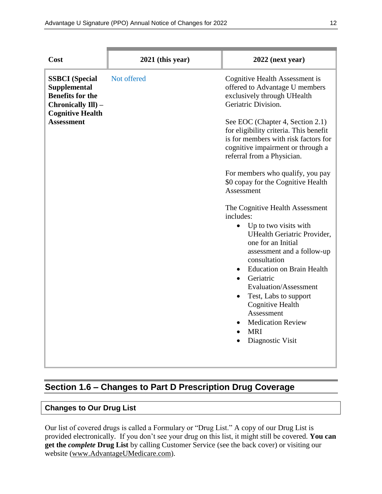| $2021$ (this year)<br>Cost                                                                                                                                   | $2022$ (next year)                                                                                                                                                                                                                                                                                                                                                                                                                                                                                                                                                                                                                                                                                                                                                                                                             |
|--------------------------------------------------------------------------------------------------------------------------------------------------------------|--------------------------------------------------------------------------------------------------------------------------------------------------------------------------------------------------------------------------------------------------------------------------------------------------------------------------------------------------------------------------------------------------------------------------------------------------------------------------------------------------------------------------------------------------------------------------------------------------------------------------------------------------------------------------------------------------------------------------------------------------------------------------------------------------------------------------------|
| Not offered<br><b>SSBCI</b> (Special<br><b>Supplemental</b><br><b>Benefits for the</b><br>Chronically Ill) -<br><b>Cognitive Health</b><br><b>Assessment</b> | Cognitive Health Assessment is<br>offered to Advantage U members<br>exclusively through UHealth<br>Geriatric Division.<br>See EOC (Chapter 4, Section 2.1)<br>for eligibility criteria. This benefit<br>is for members with risk factors for<br>cognitive impairment or through a<br>referral from a Physician.<br>For members who qualify, you pay<br>\$0 copay for the Cognitive Health<br>Assessment<br>The Cognitive Health Assessment<br>includes:<br>Up to two visits with<br>$\bullet$<br><b>UHealth Geriatric Provider,</b><br>one for an Initial<br>assessment and a follow-up<br>consultation<br><b>Education on Brain Health</b><br>Geriatric<br>Evaluation/Assessment<br>Test, Labs to support<br>$\bullet$<br><b>Cognitive Health</b><br>Assessment<br><b>Medication Review</b><br><b>MRI</b><br>Diagnostic Visit |

## **Section 1.6 – Changes to Part D Prescription Drug Coverage**

## **Changes to Our Drug List**

Our list of covered drugs is called a Formulary or "Drug List." A copy of our Drug List is provided electronically. If you don't see your drug on this list, it might still be covered. **You can get the** *complete* **Drug List** by calling Customer Service (see the back cover) or visiting our website [\(www.AdvantageUMedicare.com\)](http://www.advantageumedicare.com/).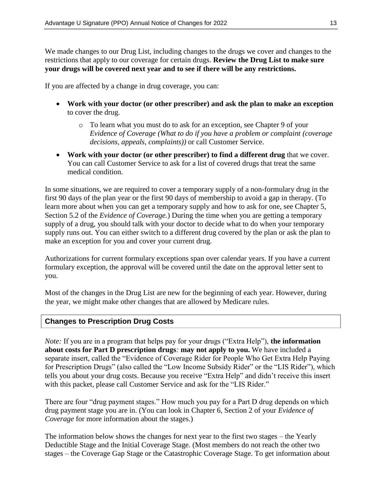We made changes to our Drug List, including changes to the drugs we cover and changes to the restrictions that apply to our coverage for certain drugs. **Review the Drug List to make sure your drugs will be covered next year and to see if there will be any restrictions.**

If you are affected by a change in drug coverage, you can:

- **Work with your doctor (or other prescriber) and ask the plan to make an exception** to cover the drug.
	- o To learn what you must do to ask for an exception, see Chapter 9 of your *Evidence of Coverage (What to do if you have a problem or complaint (coverage decisions, appeals, complaints))* or call Customer Service.
- **Work with your doctor (or other prescriber) to find a different drug** that we cover. You can call Customer Service to ask for a list of covered drugs that treat the same medical condition.

In some situations, we are required to cover a temporary supply of a non-formulary drug in the first 90 days of the plan year or the first 90 days of membership to avoid a gap in therapy. (To learn more about when you can get a temporary supply and how to ask for one, see Chapter 5, Section 5.2 of the *Evidence of Coverage.*) During the time when you are getting a temporary supply of a drug, you should talk with your doctor to decide what to do when your temporary supply runs out. You can either switch to a different drug covered by the plan or ask the plan to make an exception for you and cover your current drug.

Authorizations for current formulary exceptions span over calendar years. If you have a current formulary exception, the approval will be covered until the date on the approval letter sent to you.

Most of the changes in the Drug List are new for the beginning of each year. However, during the year, we might make other changes that are allowed by Medicare rules.

### **Changes to Prescription Drug Costs**

*Note:* If you are in a program that helps pay for your drugs ("Extra Help"), **the information about costs for Part D prescription drugs***:* **may not apply to you.** We have included a separate insert, called the "Evidence of Coverage Rider for People Who Get Extra Help Paying for Prescription Drugs" (also called the "Low Income Subsidy Rider" or the "LIS Rider"), which tells you about your drug costs. Because you receive "Extra Help" and didn't receive this insert with this packet, please call Customer Service and ask for the "LIS Rider."

There are four "drug payment stages." How much you pay for a Part D drug depends on which drug payment stage you are in. (You can look in Chapter 6, Section 2 of your *Evidence of Coverage* for more information about the stages.)

The information below shows the changes for next year to the first two stages – the Yearly Deductible Stage and the Initial Coverage Stage. (Most members do not reach the other two stages – the Coverage Gap Stage or the Catastrophic Coverage Stage. To get information about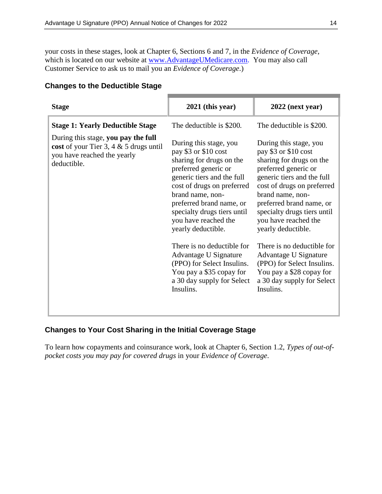your costs in these stages, look at Chapter 6, Sections 6 and 7, in the *Evidence of Coverage*, which is located on our website at [www.AdvantageUMedicare.com.](http://www.advantageumedicare.com/) You may also call Customer Service to ask us to mail you an *Evidence of Coverage*.)

| <b>Stage</b>                                                                                                                  | $2021$ (this year)                                                                                                                                                                                                                                                                                                                                                                                                                                      | $2022$ (next year)                                                                                                                                                                                                                                                                                                                                                                                                                                      |
|-------------------------------------------------------------------------------------------------------------------------------|---------------------------------------------------------------------------------------------------------------------------------------------------------------------------------------------------------------------------------------------------------------------------------------------------------------------------------------------------------------------------------------------------------------------------------------------------------|---------------------------------------------------------------------------------------------------------------------------------------------------------------------------------------------------------------------------------------------------------------------------------------------------------------------------------------------------------------------------------------------------------------------------------------------------------|
| <b>Stage 1: Yearly Deductible Stage</b>                                                                                       | The deductible is \$200.                                                                                                                                                                                                                                                                                                                                                                                                                                | The deductible is \$200.                                                                                                                                                                                                                                                                                                                                                                                                                                |
| During this stage, you pay the full<br>cost of your Tier 3, 4 $&$ 5 drugs until<br>you have reached the yearly<br>deductible. | During this stage, you<br>pay \$3 or \$10 cost<br>sharing for drugs on the<br>preferred generic or<br>generic tiers and the full<br>cost of drugs on preferred<br>brand name, non-<br>preferred brand name, or<br>specialty drugs tiers until<br>you have reached the<br>yearly deductible.<br>There is no deductible for<br>Advantage U Signature<br>(PPO) for Select Insulins.<br>You pay a \$35 copay for<br>a 30 day supply for Select<br>Insulins. | During this stage, you<br>pay \$3 or \$10 cost<br>sharing for drugs on the<br>preferred generic or<br>generic tiers and the full<br>cost of drugs on preferred<br>brand name, non-<br>preferred brand name, or<br>specialty drugs tiers until<br>you have reached the<br>yearly deductible.<br>There is no deductible for<br>Advantage U Signature<br>(PPO) for Select Insulins.<br>You pay a \$28 copay for<br>a 30 day supply for Select<br>Insulins. |
|                                                                                                                               |                                                                                                                                                                                                                                                                                                                                                                                                                                                         |                                                                                                                                                                                                                                                                                                                                                                                                                                                         |

### **Changes to the Deductible Stage**

## **Changes to Your Cost Sharing in the Initial Coverage Stage**

To learn how copayments and coinsurance work, look at Chapter 6, Section 1.2, *Types of out-ofpocket costs you may pay for covered drugs* in your *Evidence of Coverage*.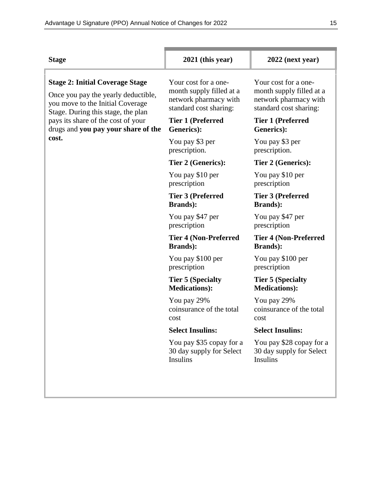| <b>Stage</b>                                                                                                                                                                                                                                  | $2021$ (this year)                                                                                  | $2022$ (next year)                                                                                  |
|-----------------------------------------------------------------------------------------------------------------------------------------------------------------------------------------------------------------------------------------------|-----------------------------------------------------------------------------------------------------|-----------------------------------------------------------------------------------------------------|
| <b>Stage 2: Initial Coverage Stage</b><br>Once you pay the yearly deductible,<br>you move to the Initial Coverage<br>Stage. During this stage, the plan<br>pays its share of the cost of your<br>drugs and you pay your share of the<br>cost. | Your cost for a one-<br>month supply filled at a<br>network pharmacy with<br>standard cost sharing: | Your cost for a one-<br>month supply filled at a<br>network pharmacy with<br>standard cost sharing: |
|                                                                                                                                                                                                                                               | <b>Tier 1 (Preferred</b><br>Generics):                                                              | <b>Tier 1 (Preferred</b><br>Generics):                                                              |
|                                                                                                                                                                                                                                               | You pay \$3 per<br>prescription.                                                                    | You pay \$3 per<br>prescription.                                                                    |
|                                                                                                                                                                                                                                               | Tier 2 (Generics):                                                                                  | Tier 2 (Generics):                                                                                  |
|                                                                                                                                                                                                                                               | You pay \$10 per<br>prescription                                                                    | You pay \$10 per<br>prescription                                                                    |
|                                                                                                                                                                                                                                               | <b>Tier 3 (Preferred</b><br><b>Brands</b> ):                                                        | <b>Tier 3 (Preferred</b><br><b>Brands</b> ):                                                        |
|                                                                                                                                                                                                                                               | You pay \$47 per<br>prescription                                                                    | You pay \$47 per<br>prescription                                                                    |
|                                                                                                                                                                                                                                               | <b>Tier 4 (Non-Preferred</b><br><b>Brands</b> ):                                                    | <b>Tier 4 (Non-Preferred</b><br><b>Brands</b> ):                                                    |
|                                                                                                                                                                                                                                               | You pay \$100 per<br>prescription                                                                   | You pay \$100 per<br>prescription                                                                   |
|                                                                                                                                                                                                                                               | <b>Tier 5 (Specialty)</b><br><b>Medications</b> ):                                                  | <b>Tier 5 (Specialty)</b><br><b>Medications</b> ):                                                  |
|                                                                                                                                                                                                                                               | You pay 29%<br>coinsurance of the total<br>cost                                                     | You pay 29%<br>coinsurance of the total<br>cost                                                     |
|                                                                                                                                                                                                                                               | <b>Select Insulins:</b>                                                                             | <b>Select Insulins:</b>                                                                             |
|                                                                                                                                                                                                                                               | You pay \$35 copay for a<br>30 day supply for Select<br><b>Insulins</b>                             | You pay \$28 copay for a<br>30 day supply for Select<br><b>Insulins</b>                             |
|                                                                                                                                                                                                                                               |                                                                                                     |                                                                                                     |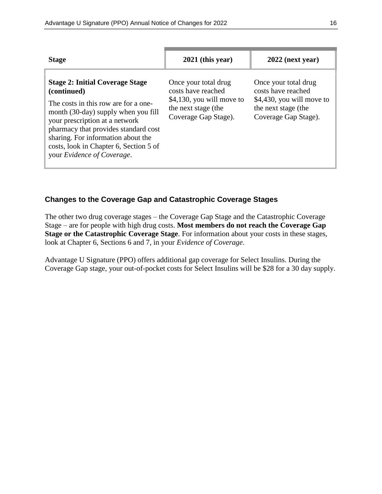| <b>Stage</b>                                                                                                                                                                                                                                                                                                                 | $2021$ (this year)                                                                                                       | $2022$ (next year)                                                                                                     |
|------------------------------------------------------------------------------------------------------------------------------------------------------------------------------------------------------------------------------------------------------------------------------------------------------------------------------|--------------------------------------------------------------------------------------------------------------------------|------------------------------------------------------------------------------------------------------------------------|
| <b>Stage 2: Initial Coverage Stage</b><br>(continued)<br>The costs in this row are for a one-<br>month (30-day) supply when you fill<br>your prescription at a network<br>pharmacy that provides standard cost<br>sharing. For information about the<br>costs, look in Chapter 6, Section 5 of<br>your Evidence of Coverage. | Once your total drug<br>costs have reached<br>$$4,130$ , you will move to<br>the next stage (the<br>Coverage Gap Stage). | Once your total drug<br>costs have reached<br>\$4,430, you will move to<br>the next stage (the<br>Coverage Gap Stage). |

### **Changes to the Coverage Gap and Catastrophic Coverage Stages**

The other two drug coverage stages – the Coverage Gap Stage and the Catastrophic Coverage Stage – are for people with high drug costs. **Most members do not reach the Coverage Gap Stage or the Catastrophic Coverage Stage**. For information about your costs in these stages, look at Chapter 6, Sections 6 and 7, in your *Evidence of Coverage*.

Advantage U Signature (PPO) offers additional gap coverage for Select Insulins. During the Coverage Gap stage, your out-of-pocket costs for Select Insulins will be \$28 for a 30 day supply.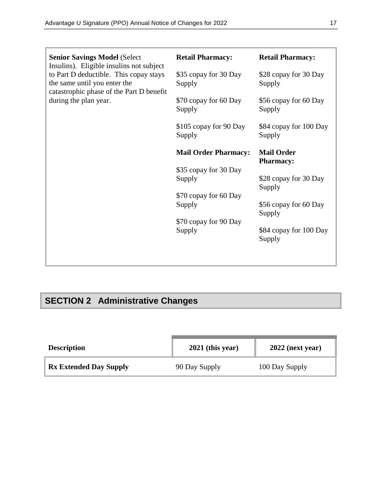| <b>Senior Savings Model (Select</b><br>Insulins). Eligible insulins not subject<br>to Part D deductible. This copay stays<br>the same until you enter the<br>catastrophic phase of the Part D benefit<br>during the plan year. | <b>Retail Pharmacy:</b>          | <b>Retail Pharmacy:</b>               |
|--------------------------------------------------------------------------------------------------------------------------------------------------------------------------------------------------------------------------------|----------------------------------|---------------------------------------|
|                                                                                                                                                                                                                                | \$35 copay for 30 Day<br>Supply  | \$28 copay for 30 Day<br>Supply       |
|                                                                                                                                                                                                                                | \$70 copay for 60 Day<br>Supply  | \$56 copay for 60 Day<br>Supply       |
|                                                                                                                                                                                                                                | \$105 copay for 90 Day<br>Supply | \$84 copay for 100 Day<br>Supply      |
|                                                                                                                                                                                                                                | <b>Mail Order Pharmacy:</b>      | <b>Mail Order</b><br><b>Pharmacy:</b> |
|                                                                                                                                                                                                                                | \$35 copay for 30 Day<br>Supply  | \$28 copay for 30 Day                 |
|                                                                                                                                                                                                                                |                                  |                                       |
|                                                                                                                                                                                                                                | \$70 copay for 60 Day            | Supply                                |
|                                                                                                                                                                                                                                | Supply                           | \$56 copay for 60 Day                 |
|                                                                                                                                                                                                                                | \$70 copay for 90 Day            | Supply                                |
|                                                                                                                                                                                                                                | Supply                           | \$84 copay for 100 Day<br>Supply      |

# **SECTION 2 Administrative Changes**

| <b>Description</b>            | $2021$ (this year) | $2022$ (next year) |
|-------------------------------|--------------------|--------------------|
| <b>Rx Extended Day Supply</b> | 90 Day Supply      | 100 Day Supply     |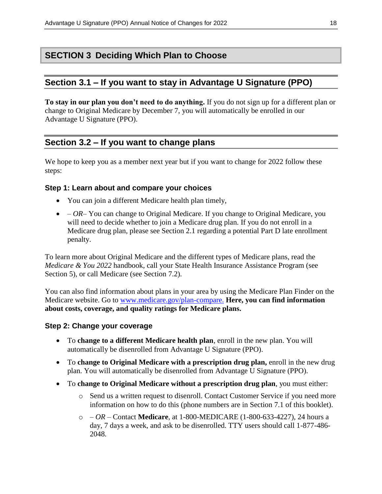## **SECTION 3 Deciding Which Plan to Choose**

## **Section 3.1 – If you want to stay in Advantage U Signature (PPO)**

**To stay in our plan you don't need to do anything.** If you do not sign up for a different plan or change to Original Medicare by December 7, you will automatically be enrolled in our Advantage U Signature (PPO).

## **Section 3.2 – If you want to change plans**

We hope to keep you as a member next year but if you want to change for 2022 follow these steps:

### **Step 1: Learn about and compare your choices**

- You can join a different Medicare health plan timely,
- *– OR–* You can change to Original Medicare. If you change to Original Medicare, you will need to decide whether to join a Medicare drug plan. If you do not enroll in a Medicare drug plan, please see Section 2.1 regarding a potential Part D late enrollment penalty.

To learn more about Original Medicare and the different types of Medicare plans, read the *Medicare & You 2022* handbook, call your State Health Insurance Assistance Program (see Section 5), or call Medicare (see Section 7.2).

You can also find information about plans in your area by using the Medicare Plan Finder on the Medicare website. Go to [www.medicare.gov/plan-compare.](http://www.medicare.gov/plan-compare) **Here, you can find information about costs, coverage, and quality ratings for Medicare plans.**

### **Step 2: Change your coverage**

- To **change to a different Medicare health plan**, enroll in the new plan. You will automatically be disenrolled from Advantage U Signature (PPO).
- To **change to Original Medicare with a prescription drug plan,** enroll in the new drug plan. You will automatically be disenrolled from Advantage U Signature (PPO).
- To **change to Original Medicare without a prescription drug plan**, you must either:
	- o Send us a written request to disenroll. Contact Customer Service if you need more information on how to do this (phone numbers are in Section 7.1 of this booklet).
	- o *– OR –* Contact **Medicare**, at 1-800-MEDICARE (1-800-633-4227), 24 hours a day, 7 days a week, and ask to be disenrolled. TTY users should call 1-877-486- 2048.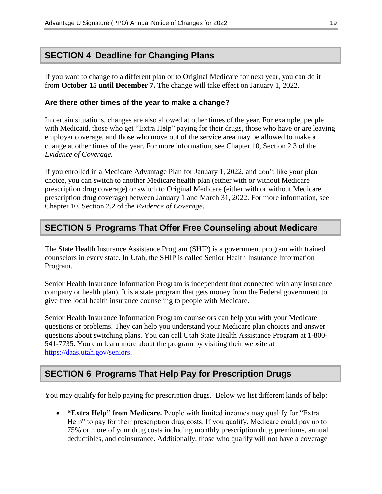## **SECTION 4 Deadline for Changing Plans**

If you want to change to a different plan or to Original Medicare for next year, you can do it from **October 15 until December 7.** The change will take effect on January 1, 2022.

#### **Are there other times of the year to make a change?**

In certain situations, changes are also allowed at other times of the year. For example, people with Medicaid, those who get "Extra Help" paying for their drugs, those who have or are leaving employer coverage, and those who move out of the service area may be allowed to make a change at other times of the year. For more information, see Chapter 10, Section 2.3 of the *Evidence of Coverage.*

If you enrolled in a Medicare Advantage Plan for January 1, 2022, and don't like your plan choice, you can switch to another Medicare health plan (either with or without Medicare prescription drug coverage) or switch to Original Medicare (either with or without Medicare prescription drug coverage) between January 1 and March 31, 2022. For more information, see Chapter 10, Section 2.2 of the *Evidence of Coverage*.

## **SECTION 5 Programs That Offer Free Counseling about Medicare**

The State Health Insurance Assistance Program (SHIP) is a government program with trained counselors in every state. In Utah, the SHIP is called Senior Health Insurance Information Program.

Senior Health Insurance Information Program is independent (not connected with any insurance company or health plan). It is a state program that gets money from the Federal government to give free local health insurance counseling to people with Medicare.

Senior Health Insurance Information Program counselors can help you with your Medicare questions or problems. They can help you understand your Medicare plan choices and answer questions about switching plans. You can call Utah State Health Assistance Program at 1-800- 541-7735. You can learn more about the program by visiting their website at [https://daas.utah.gov/seniors.](https://daas.utah.gov/seniors)

## **SECTION 6 Programs That Help Pay for Prescription Drugs**

You may qualify for help paying for prescription drugs. Below we list different kinds of help:

 **"Extra Help" from Medicare.** People with limited incomes may qualify for "Extra Help" to pay for their prescription drug costs. If you qualify, Medicare could pay up to 75% or more of your drug costs including monthly prescription drug premiums, annual deductibles, and coinsurance. Additionally, those who qualify will not have a coverage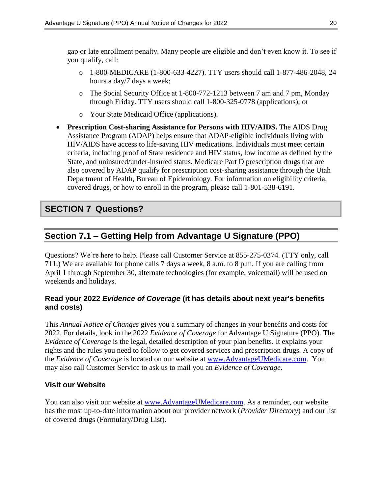gap or late enrollment penalty. Many people are eligible and don't even know it. To see if you qualify, call:

- o 1-800-MEDICARE (1-800-633-4227). TTY users should call 1-877-486-2048, 24 hours a day/7 days a week;
- o The Social Security Office at 1-800-772-1213 between 7 am and 7 pm, Monday through Friday. TTY users should call 1-800-325-0778 (applications); or
- o Your State Medicaid Office (applications).
- **Prescription Cost-sharing Assistance for Persons with HIV/AIDS.** The AIDS Drug Assistance Program (ADAP) helps ensure that ADAP-eligible individuals living with HIV/AIDS have access to life-saving HIV medications. Individuals must meet certain criteria, including proof of State residence and HIV status, low income as defined by the State, and uninsured/under-insured status. Medicare Part D prescription drugs that are also covered by ADAP qualify for prescription cost-sharing assistance through the Utah Department of Health, Bureau of Epidemiology*.* For information on eligibility criteria, covered drugs, or how to enroll in the program, please call 1-801-538-6191.

## **SECTION 7 Questions?**

## **Section 7.1 – Getting Help from Advantage U Signature (PPO)**

Questions? We're here to help. Please call Customer Service at 855-275-0374*.* (TTY only, call 711.) We are available for phone calls 7 days a week, 8 a.m. to 8 p.m. If you are calling from April 1 through September 30, alternate technologies (for example, voicemail) will be used on weekends and holidays.

## **Read your 2022** *Evidence of Coverage* **(it has details about next year's benefits and costs)**

This *Annual Notice of Changes* gives you a summary of changes in your benefits and costs for 2022. For details, look in the 2022 *Evidence of Coverage* for Advantage U Signature (PPO). The *Evidence of Coverage* is the legal, detailed description of your plan benefits. It explains your rights and the rules you need to follow to get covered services and prescription drugs. A copy of the *Evidence of Coverage* is located on our website at [www.AdvantageUMedicare.com.](http://www.advantageumedicare.com/) You may also call Customer Service to ask us to mail you an *Evidence of Coverage*.

## **Visit our Website**

You can also visit our website at www.AdvantageUMedicare.com. As a reminder, our website has the most up-to-date information about our provider network (*Provider Directory*) and our list of covered drugs (Formulary/Drug List).